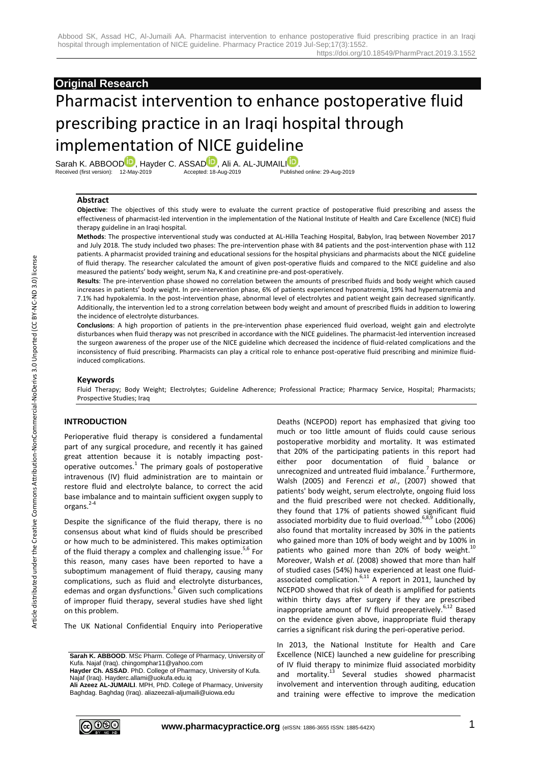## **Original Research**

# Pharmacist intervention to enhance postoperative fluid prescribing practice in an Iraqi hospital through implementation of NICE guideline

Sarah K. ABBOO[D](http://orcid.org/0000-0003-3499-3007)<sup>D</sup>, Hayder C. ASSAD<sup>D</sup>, Ali A. AL-JUMAI[LI](http://orcid.org/0000-0003-4691-0280)<sup>D</sup>.<br>Received (first version): 12-May-2019 Accepted: 18-Aug-2019 Published online: 29-Aug-2019 Received (first version): 12-May-2019

#### **Abstract**

**Objective**: The objectives of this study were to evaluate the current practice of postoperative fluid prescribing and assess the effectiveness of pharmacist-led intervention in the implementation of the National Institute of Health and Care Excellence (NICE) fluid therapy guideline in an Iraqi hospital.

**Methods**: The prospective interventional study was conducted at AL-Hilla Teaching Hospital, Babylon, Iraq between November 2017 and July 2018. The study included two phases: The pre-intervention phase with 84 patients and the post-intervention phase with 112 patients. A pharmacist provided training and educational sessions for the hospital physicians and pharmacists about the NICE guideline of fluid therapy. The researcher calculated the amount of given post-operative fluids and compared to the NICE guideline and also measured the patients' body weight, serum Na, K and creatinine pre-and post-operatively.

**Results**: The pre-intervention phase showed no correlation between the amounts of prescribed fluids and body weight which caused increases in patients' body weight. In pre-intervention phase, 6% of patients experienced hyponatremia, 19% had hypernatremia and 7.1% had hypokalemia. In the post-intervention phase, abnormal level of electrolytes and patient weight gain decreased significantly. Additionally, the intervention led to a strong correlation between body weight and amount of prescribed fluids in addition to lowering the incidence of electrolyte disturbances.

**Conclusions**: A high proportion of patients in the pre-intervention phase experienced fluid overload, weight gain and electrolyte disturbances when fluid therapy was not prescribed in accordance with the NICE guidelines. The pharmacist-led intervention increased the surgeon awareness of the proper use of the NICE guideline which decreased the incidence of fluid-related complications and the inconsistency of fluid prescribing. Pharmacists can play a critical role to enhance post-operative fluid prescribing and minimize fluidinduced complications.

#### **Keywords**

Fluid Therapy; Body Weight; Electrolytes; Guideline Adherence; Professional Practice; Pharmacy Service, Hospital; Pharmacists; Prospective Studies; Iraq

## **INTRODUCTION**

Perioperative fluid therapy is considered a fundamental part of any surgical procedure, and recently it has gained great attention because it is notably impacting postoperative outcomes. 1 The primary goals of postoperative intravenous (IV) fluid administration are to maintain or restore fluid and electrolyte balance, to correct the acid base imbalance and to maintain sufficient oxygen supply to organs. 2-4

Despite the significance of the fluid therapy, there is no consensus about what kind of fluids should be prescribed or how much to be administered. This makes optimization of the fluid therapy a complex and challenging issue.<sup>5,6</sup> For this reason, many cases have been reported to have a suboptimum management of fluid therapy, causing many complications, such as fluid and electrolyte disturbances, edemas and organ dysfunctions.<sup>3</sup> Given such complications of improper fluid therapy, several studies have shed light on this problem.

The UK National Confidential Enquiry into Perioperative

Deaths (NCEPOD) report has emphasized that giving too much or too little amount of fluids could cause serious postoperative morbidity and mortality. It was estimated that 20% of the participating patients in this report had either poor documentation of fluid balance or unrecognized and untreated fluid imbalance.<sup>7</sup> Furthermore, Walsh (2005) and Ferenczi *et al*., (2007) showed that patients' body weight, serum electrolyte, ongoing fluid loss and the fluid prescribed were not checked. Additionally, they found that 17% of patients showed significant fluid associated morbidity due to fluid overload.<sup>6,8,9</sup> Lobo (2006) also found that mortality increased by 30% in the patients who gained more than 10% of body weight and by 100% in patients who gained more than 20% of body weight.<sup>10</sup> Moreover, Walsh *et al*. (2008) showed that more than half of studied cases (54%) have experienced at least one fluidassociated complication.<sup>6,11</sup> A report in 2011, launched by NCEPOD showed that risk of death is amplified for patients within thirty days after surgery if they are prescribed inappropriate amount of IV fluid preoperatively.<sup>6,12</sup> Based on the evidence given above, inappropriate fluid therapy carries a significant risk during the peri-operative period.

In 2013, the National Institute for Health and Care Excellence (NICE) launched a new guideline for prescribing of IV fluid therapy to minimize fluid associated morbidity and mortality.<sup>13</sup> Several studies showed pharmacist involvement and intervention through auditing, education and training were effective to improve the medication



**Sarah K. ABBOOD**. MSc Pharm. College of Pharmacy, University of Kufa. Najaf (Iraq). chingomphar11@yahoo.com

**Hayder Ch. ASSAD**. PhD. College of Pharmacy, University of Kufa. Najaf (Iraq). Hayderc.allami@uokufa.edu.iq

**Ali Azeez AL-JUMAILI**. MPH, PhD. College of Pharmacy, University Baghdag. Baghdag (Iraq). aliazeezali-aljumaili@uiowa.edu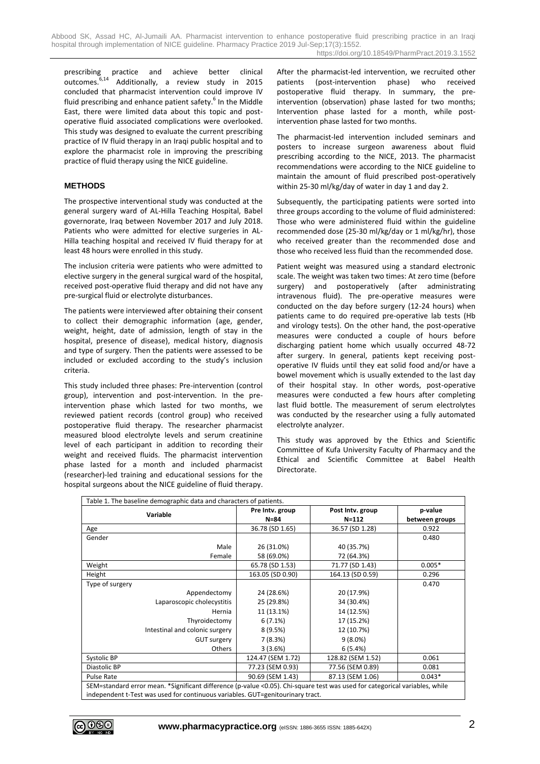prescribing practice and achieve better clinical outcomes.<sup>6,14</sup> Additionally, a review study in 2015 concluded that pharmacist intervention could improve IV fluid prescribing and enhance patient safety.<sup>6</sup> In the Middle East, there were limited data about this topic and postoperative fluid associated complications were overlooked. This study was designed to evaluate the current prescribing practice of IV fluid therapy in an Iraqi public hospital and to explore the pharmacist role in improving the prescribing practice of fluid therapy using the NICE guideline.

## **METHODS**

The prospective interventional study was conducted at the general surgery ward of AL-Hilla Teaching Hospital, Babel governorate, Iraq between November 2017 and July 2018. Patients who were admitted for elective surgeries in AL-Hilla teaching hospital and received IV fluid therapy for at least 48 hours were enrolled in this study.

The inclusion criteria were patients who were admitted to elective surgery in the general surgical ward of the hospital, received post-operative fluid therapy and did not have any pre-surgical fluid or electrolyte disturbances.

The patients were interviewed after obtaining their consent to collect their demographic information (age, gender, weight, height, date of admission, length of stay in the hospital, presence of disease), medical history, diagnosis and type of surgery. Then the patients were assessed to be included or excluded according to the study's inclusion criteria.

This study included three phases: Pre-intervention (control group), intervention and post-intervention. In the preintervention phase which lasted for two months, we reviewed patient records (control group) who received postoperative fluid therapy. The researcher pharmacist measured blood electrolyte levels and serum creatinine level of each participant in addition to recording their weight and received fluids. The pharmacist intervention phase lasted for a month and included pharmacist (researcher)-led training and educational sessions for the hospital surgeons about the NICE guideline of fluid therapy.

After the pharmacist-led intervention, we recruited other patients (post-intervention phase) who received postoperative fluid therapy. In summary, the preintervention (observation) phase lasted for two months; Intervention phase lasted for a month, while postintervention phase lasted for two months.

The pharmacist-led intervention included seminars and posters to increase surgeon awareness about fluid prescribing according to the NICE, 2013. The pharmacist recommendations were according to the NICE guideline to maintain the amount of fluid prescribed post-operatively within 25-30 ml/kg/day of water in day 1 and day 2.

Subsequently, the participating patients were sorted into three groups according to the volume of fluid administered: Those who were administered fluid within the guideline recommended dose (25-30 ml/kg/day or 1 ml/kg/hr), those who received greater than the recommended dose and those who received less fluid than the recommended dose.

Patient weight was measured using a standard electronic scale. The weight was taken two times: At zero time (before surgery) and postoperatively (after administrating intravenous fluid). The pre-operative measures were conducted on the day before surgery (12-24 hours) when patients came to do required pre-operative lab tests (Hb and virology tests). On the other hand, the post-operative measures were conducted a couple of hours before discharging patient home which usually occurred 48-72 after surgery. In general, patients kept receiving postoperative IV fluids until they eat solid food and/or have a bowel movement which is usually extended to the last day of their hospital stay. In other words, post-operative measures were conducted a few hours after completing last fluid bottle. The measurement of serum electrolytes was conducted by the researcher using a fully automated electrolyte analyzer.

This study was approved by the Ethics and Scientific Committee of Kufa University Faculty of Pharmacy and the Ethical and Scientific Committee at Babel Health **Directorate** 

| Table 1. The baseline demographic data and characters of patients.                                                          |                   |                   |                |  |
|-----------------------------------------------------------------------------------------------------------------------------|-------------------|-------------------|----------------|--|
|                                                                                                                             | Pre Intv. group   | Post Intv. group  | p-value        |  |
| Variable                                                                                                                    | $N = 84$          | $N = 112$         | between groups |  |
| Age                                                                                                                         | 36.78 (SD 1.65)   | 36.57 (SD 1.28)   | 0.922          |  |
| Gender                                                                                                                      |                   |                   | 0.480          |  |
| Male                                                                                                                        | 26 (31.0%)        | 40 (35.7%)        |                |  |
| Female                                                                                                                      | 58 (69.0%)        | 72 (64.3%)        |                |  |
| Weight                                                                                                                      | 65.78 (SD 1.53)   | 71.77 (SD 1.43)   | $0.005*$       |  |
| Height                                                                                                                      | 163.05 (SD 0.90)  | 164.13 (SD 0.59)  | 0.296          |  |
| Type of surgery                                                                                                             |                   |                   | 0.470          |  |
| Appendectomy                                                                                                                | 24 (28.6%)        | 20 (17.9%)        |                |  |
| Laparoscopic cholecystitis                                                                                                  | 25 (29.8%)        | 34 (30.4%)        |                |  |
| Hernia                                                                                                                      | 11 (13.1%)        | 14 (12.5%)        |                |  |
| Thyroidectomy                                                                                                               | 6(7.1%)           | 17 (15.2%)        |                |  |
| Intestinal and colonic surgery                                                                                              | 8(9.5%)           | 12 (10.7%)        |                |  |
| <b>GUT surgery</b>                                                                                                          | 7(8.3%)           | $9(8.0\%)$        |                |  |
| Others                                                                                                                      | 3(3.6%)           | 6(5.4%)           |                |  |
| Systolic BP                                                                                                                 | 124.47 (SEM 1.72) | 128.82 (SEM 1.52) | 0.061          |  |
| Diastolic BP                                                                                                                | 77.23 (SEM 0.93)  | 77.56 (SEM 0.89)  | 0.081          |  |
| <b>Pulse Rate</b>                                                                                                           | 90.69 (SEM 1.43)  | 87.13 (SEM 1.06)  | $0.043*$       |  |
| SEM=standard error mean. *Significant difference (p-value <0.05). Chi-square test was used for categorical variables, while |                   |                   |                |  |
| independent t-Test was used for continuous variables. GUT=genitourinary tract.                                              |                   |                   |                |  |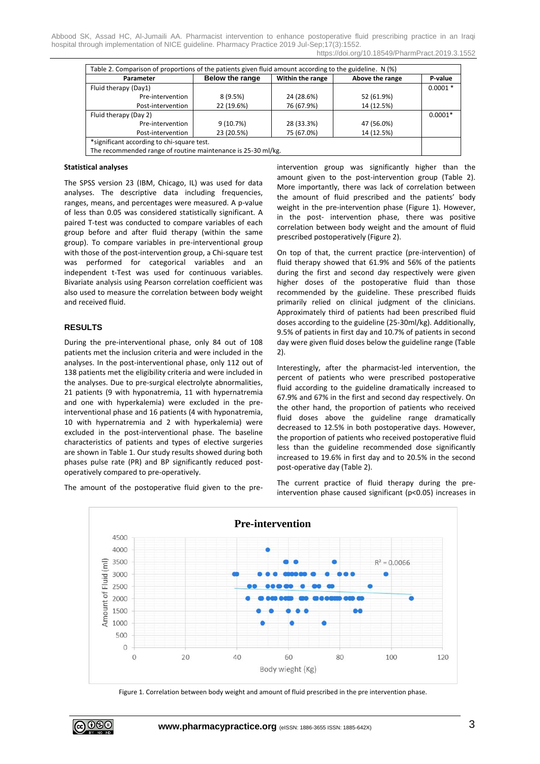| Parameter                                                    | <b>Below the range</b> | Within the range | Above the range | P-value   |
|--------------------------------------------------------------|------------------------|------------------|-----------------|-----------|
| Fluid therapy (Day1)                                         |                        |                  |                 | $0.0001*$ |
| Pre-intervention                                             | 8(9.5%)                | 24 (28.6%)       | 52 (61.9%)      |           |
| Post-intervention                                            | 22 (19.6%)             | 76 (67.9%)       | 14 (12.5%)      |           |
| Fluid therapy (Day 2)                                        |                        |                  |                 | $0.0001*$ |
| Pre-intervention                                             | 9(10.7%)               | 28 (33.3%)       | 47 (56.0%)      |           |
| Post-intervention                                            | 23 (20.5%)             | 75 (67.0%)       | 14 (12.5%)      |           |
| *significant according to chi-square test.                   |                        |                  |                 |           |
| The recommended range of routine maintenance is 25-30 ml/kg. |                        |                  |                 |           |

#### **Statistical analyses**

The SPSS version 23 (IBM, Chicago, IL) was used for data analyses. The descriptive data including frequencies, ranges, means, and percentages were measured. A p-value of less than 0.05 was considered statistically significant. A paired T-test was conducted to compare variables of each group before and after fluid therapy (within the same group). To compare variables in pre-interventional group with those of the post-intervention group, a Chi-square test was performed for categorical variables and an independent t-Test was used for continuous variables. Bivariate analysis using Pearson correlation coefficient was also used to measure the correlation between body weight and received fluid.

## **RESULTS**

During the pre-interventional phase, only 84 out of 108 patients met the inclusion criteria and were included in the analyses. In the post-interventional phase, only 112 out of 138 patients met the eligibility criteria and were included in the analyses. Due to pre-surgical electrolyte abnormalities, 21 patients (9 with hyponatremia, 11 with hypernatremia and one with hyperkalemia) were excluded in the preinterventional phase and 16 patients (4 with hyponatremia, 10 with hypernatremia and 2 with hyperkalemia) were excluded in the post-interventional phase. The baseline characteristics of patients and types of elective surgeries are shown in Table 1. Our study results showed during both phases pulse rate (PR) and BP significantly reduced postoperatively compared to pre-operatively.

The amount of the postoperative fluid given to the pre-

intervention group was significantly higher than the amount given to the post-intervention group (Table 2). More importantly, there was lack of correlation between the amount of fluid prescribed and the patients' body weight in the pre-intervention phase (Figure 1). However, in the post- intervention phase, there was positive correlation between body weight and the amount of fluid prescribed postoperatively (Figure 2).

On top of that, the current practice (pre-intervention) of fluid therapy showed that 61.9% and 56% of the patients during the first and second day respectively were given higher doses of the postoperative fluid than those recommended by the guideline. These prescribed fluids primarily relied on clinical judgment of the clinicians. Approximately third of patients had been prescribed fluid doses according to the guideline (25-30ml/kg). Additionally, 9.5% of patients in first day and 10.7% of patients in second day were given fluid doses below the guideline range (Table 2).

Interestingly, after the pharmacist-led intervention, the percent of patients who were prescribed postoperative fluid according to the guideline dramatically increased to 67.9% and 67% in the first and second day respectively. On the other hand, the proportion of patients who received fluid doses above the guideline range dramatically decreased to 12.5% in both postoperative days. However, the proportion of patients who received postoperative fluid less than the guideline recommended dose significantly increased to 19.6% in first day and to 20.5% in the second post-operative day (Table 2).

The current practice of fluid therapy during the preintervention phase caused significant (p<0.05) increases in



Figure 1. Correlation between body weight and amount of fluid prescribed in the pre intervention phase.

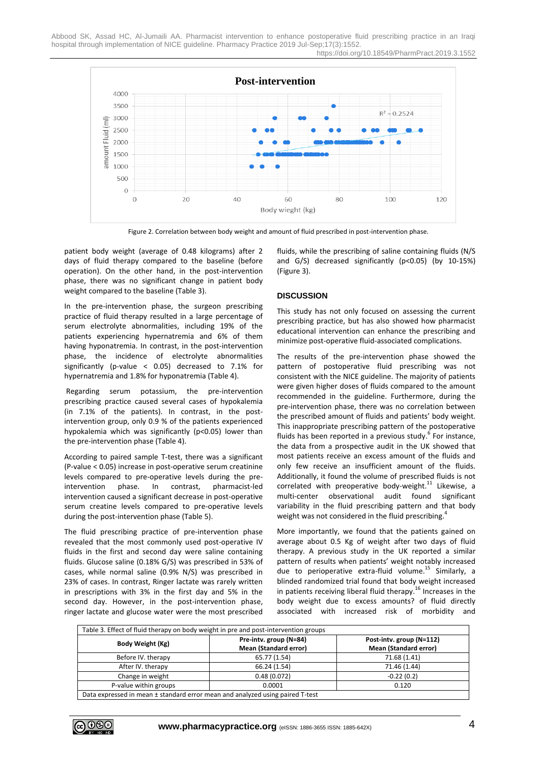

Figure 2. Correlation between body weight and amount of fluid prescribed in post-intervention phase.

patient body weight (average of 0.48 kilograms) after 2 days of fluid therapy compared to the baseline (before operation). On the other hand, in the post-intervention phase, there was no significant change in patient body weight compared to the baseline (Table 3).

In the pre-intervention phase, the surgeon prescribing practice of fluid therapy resulted in a large percentage of serum electrolyte abnormalities, including 19% of the patients experiencing hypernatremia and 6% of them having hyponatremia. In contrast, in the post-intervention phase, the incidence of electrolyte abnormalities significantly (p-value < 0.05) decreased to 7.1% for hypernatremia and 1.8% for hyponatremia (Table 4).

Regarding serum potassium, the pre-intervention prescribing practice caused several cases of hypokalemia (in 7.1% of the patients). In contrast, in the postintervention group, only 0.9 % of the patients experienced hypokalemia which was significantly (p<0.05) lower than the pre-intervention phase (Table 4).

According to paired sample T-test, there was a significant (P-value < 0.05) increase in post-operative serum creatinine levels compared to pre-operative levels during the preintervention phase. In contrast, pharmacist-led intervention caused a significant decrease in post-operative serum creatine levels compared to pre-operative levels during the post-intervention phase (Table 5).

The fluid prescribing practice of pre-intervention phase revealed that the most commonly used post-operative IV fluids in the first and second day were saline containing fluids. Glucose saline (0.18% G/S) was prescribed in 53% of cases, while normal saline (0.9% N/S) was prescribed in 23% of cases. In contrast, Ringer lactate was rarely written in prescriptions with 3% in the first day and 5% in the second day. However, in the post-intervention phase, ringer lactate and glucose water were the most prescribed fluids, while the prescribing of saline containing fluids (N/S and G/S) decreased significantly (p<0.05) (by 10-15%) (Figure 3).

## **DISCUSSION**

This study has not only focused on assessing the current prescribing practice, but has also showed how pharmacist educational intervention can enhance the prescribing and minimize post-operative fluid-associated complications.

The results of the pre-intervention phase showed the pattern of postoperative fluid prescribing was not consistent with the NICE guideline. The majority of patients were given higher doses of fluids compared to the amount recommended in the guideline. Furthermore, during the pre-intervention phase, there was no correlation between the prescribed amount of fluids and patients' body weight. This inappropriate prescribing pattern of the postoperative fluids has been reported in a previous study.<sup>6</sup> For instance, the data from a prospective audit in the UK showed that most patients receive an excess amount of the fluids and only few receive an insufficient amount of the fluids. Additionally, it found the volume of prescribed fluids is not correlated with preoperative body-weight.<sup>11</sup> Likewise, a multi-center observational audit found significant variability in the fluid prescribing pattern and that body weight was not considered in the fluid prescribing.<sup>4</sup>

More importantly, we found that the patients gained on average about 0.5 Kg of weight after two days of fluid therapy. A previous study in the UK reported a similar pattern of results when patients' weight notably increased due to perioperative extra-fluid volume. <sup>15</sup> Similarly, a blinded randomized trial found that body weight increased in patients receiving liberal fluid therapy.<sup>16</sup> Increases in the body weight due to excess amounts? of fluid directly associated with increased risk of morbidity and

| Table 3. Effect of fluid therapy on body weight in pre and post-intervention groups |                                                        |                                                          |  |
|-------------------------------------------------------------------------------------|--------------------------------------------------------|----------------------------------------------------------|--|
| Body Weight (Kg)                                                                    | Pre-intv. group (N=84)<br><b>Mean (Standard error)</b> | Post-intv. group (N=112)<br><b>Mean (Standard error)</b> |  |
| Before IV. therapy                                                                  | 65.77 (1.54)                                           | 71.68 (1.41)                                             |  |
| After IV. therapy                                                                   | 66.24 (1.54)                                           | 71.46 (1.44)                                             |  |
| Change in weight                                                                    | 0.48(0.072)                                            | $-0.22(0.2)$                                             |  |
| P-value within groups                                                               | 0.0001                                                 | 0.120                                                    |  |
| Data expressed in mean ± standard error mean and analyzed using paired T-test       |                                                        |                                                          |  |

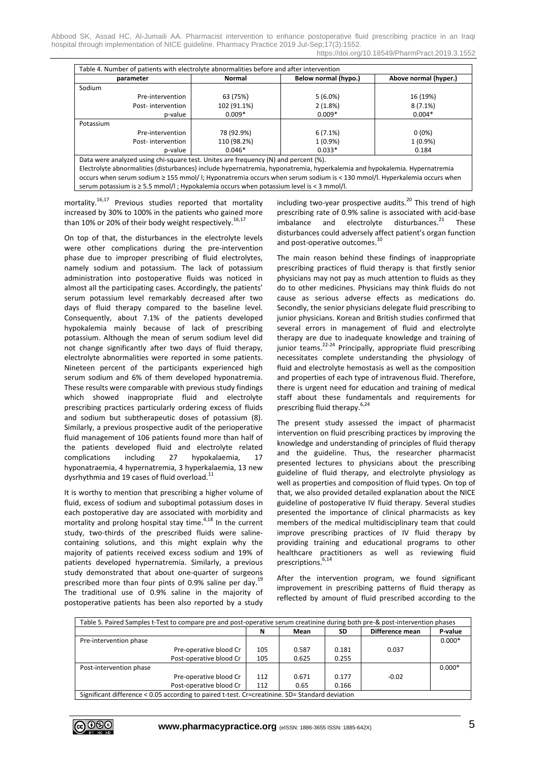| parameter                                                                                                                 | Normal<br>Below normal (hypo.) |            | Above normal (hyper.) |  |
|---------------------------------------------------------------------------------------------------------------------------|--------------------------------|------------|-----------------------|--|
| Sodium                                                                                                                    |                                |            |                       |  |
| Pre-intervention                                                                                                          | 63 (75%)                       | $5(6.0\%)$ | 16 (19%)              |  |
| Post-intervention                                                                                                         | 102 (91.1%)                    | 2(1.8%)    | $8(7.1\%)$            |  |
| p-value                                                                                                                   | $0.009*$                       | $0.009*$   | $0.004*$              |  |
| Potassium                                                                                                                 |                                |            |                       |  |
| Pre-intervention                                                                                                          | 78 (92.9%)                     | $6(7.1\%)$ | $0(0\%)$              |  |
| Post-intervention                                                                                                         | 110 (98.2%)                    | $1(0.9\%)$ | $1(0.9\%)$            |  |
| p-value                                                                                                                   | $0.046*$                       | $0.033*$   | 0.184                 |  |
| Data were analyzed using chi-square test. Unites are frequency (N) and percent (%).                                       |                                |            |                       |  |
| Electrolyte abnormalities (disturbances) include hypernatremia, hyponatremia, hyperkalemia and hypokalemia. Hypernatremia |                                |            |                       |  |

mortality.<sup>16,17</sup> Previous studies reported that mortality increased by 30% to 100% in the patients who gained more than 10% or 20% of their body weight respectively.<sup>16,17</sup>

serum potassium is ≥ 5.5 mmol/l ; Hypokalemia occurs when potassium level is < 3 mmol/l.

On top of that, the disturbances in the electrolyte levels were other complications during the pre-intervention phase due to improper prescribing of fluid electrolytes, namely sodium and potassium. The lack of potassium administration into postoperative fluids was noticed in almost all the participating cases. Accordingly, the patients' serum potassium level remarkably decreased after two days of fluid therapy compared to the baseline level. Consequently, about 7.1% of the patients developed hypokalemia mainly because of lack of prescribing potassium. Although the mean of serum sodium level did not change significantly after two days of fluid therapy, electrolyte abnormalities were reported in some patients. Nineteen percent of the participants experienced high serum sodium and 6% of them developed hyponatremia. These results were comparable with previous study findings which showed inappropriate fluid and electrolyte prescribing practices particularly ordering excess of fluids and sodium but subtherapeutic doses of potassium (8). Similarly, a previous prospective audit of the perioperative fluid management of 106 patients found more than half of the patients developed fluid and electrolyte related complications including 27 hypokalaemia, 17 hyponatraemia, 4 hypernatremia, 3 hyperkalaemia, 13 new dysrhythmia and 19 cases of fluid overload.<sup>11</sup>

It is worthy to mention that prescribing a higher volume of fluid, excess of sodium and suboptimal potassium doses in each postoperative day are associated with morbidity and mortality and prolong hospital stay time.<sup>4,18</sup> In the current study, two-thirds of the prescribed fluids were salinecontaining solutions, and this might explain why the majority of patients received excess sodium and 19% of patients developed hypernatremia. Similarly, a previous study demonstrated that about one-quarter of surgeons prescribed more than four pints of 0.9% saline per day.<sup>19</sup> The traditional use of 0.9% saline in the majority of postoperative patients has been also reported by a study

including two-year prospective audits. <sup>20</sup> This trend of high prescribing rate of 0.9% saline is associated with acid-base imbalance and electrolyte disturbances.<sup>21</sup> **These** disturbances could adversely affect patient's organ function and post-operative outcomes.<sup>10</sup>

The main reason behind these findings of inappropriate prescribing practices of fluid therapy is that firstly senior physicians may not pay as much attention to fluids as they do to other medicines. Physicians may think fluids do not cause as serious adverse effects as medications do. Secondly, the senior physicians delegate fluid prescribing to junior physicians. Korean and British studies confirmed that several errors in management of fluid and electrolyte therapy are due to inadequate knowledge and training of junior teams.<sup>22-24</sup> Principally, appropriate fluid prescribing necessitates complete understanding the physiology of fluid and electrolyte hemostasis as well as the composition and properties of each type of intravenous fluid. Therefore, there is urgent need for education and training of medical staff about these fundamentals and requirements for prescribing fluid therapy.<sup>6,24</sup>

The present study assessed the impact of pharmacist intervention on fluid prescribing practices by improving the knowledge and understanding of principles of fluid therapy and the guideline. Thus, the researcher pharmacist presented lectures to physicians about the prescribing guideline of fluid therapy, and electrolyte physiology as well as properties and composition of fluid types. On top of that, we also provided detailed explanation about the NICE guideline of postoperative IV fluid therapy. Several studies presented the importance of clinical pharmacists as key members of the medical multidisciplinary team that could improve prescribing practices of IV fluid therapy by providing training and educational programs to other healthcare practitioners as well as reviewing fluid prescriptions. 6,14

After the intervention program, we found significant improvement in prescribing patterns of fluid therapy as reflected by amount of fluid prescribed according to the

|                         |                         | N   | Mean  | SD    | Difference mean | P-value  |
|-------------------------|-------------------------|-----|-------|-------|-----------------|----------|
| Pre-intervention phase  |                         |     |       |       |                 | $0.000*$ |
|                         | Pre-operative blood Cr  | 105 | 0.587 | 0.181 | 0.037           |          |
|                         | Post-operative blood Cr | 105 | 0.625 | 0.255 |                 |          |
| Post-intervention phase |                         |     |       |       |                 | $0.000*$ |
|                         | Pre-operative blood Cr  | 112 | 0.671 | 0.177 | $-0.02$         |          |
|                         | Post-operative blood Cr | 112 | 0.65  | 0.166 |                 |          |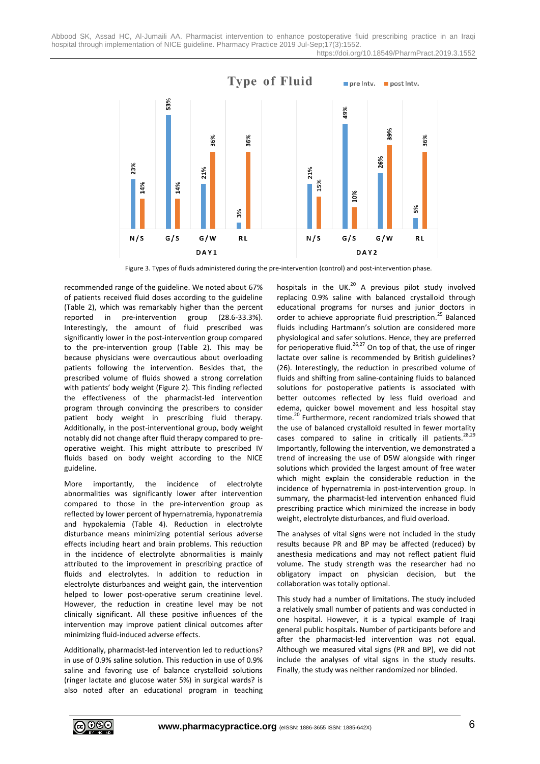

Figure 3. Types of fluids administered during the pre-intervention (control) and post-intervention phase.

recommended range of the guideline. We noted about 67% of patients received fluid doses according to the guideline (Table 2), which was remarkably higher than the percent reported in pre-intervention group (28.6-33.3%). Interestingly, the amount of fluid prescribed was significantly lower in the post-intervention group compared to the pre-intervention group (Table 2). This may be because physicians were overcautious about overloading patients following the intervention. Besides that, the prescribed volume of fluids showed a strong correlation with patients' body weight (Figure 2). This finding reflected the effectiveness of the pharmacist-led intervention program through convincing the prescribers to consider patient body weight in prescribing fluid therapy. Additionally, in the post-interventional group, body weight notably did not change after fluid therapy compared to preoperative weight. This might attribute to prescribed IV fluids based on body weight according to the NICE guideline.

More importantly, the incidence of electrolyte abnormalities was significantly lower after intervention compared to those in the pre-intervention group as reflected by lower percent of hypernatremia, hyponatremia and hypokalemia (Table 4). Reduction in electrolyte disturbance means minimizing potential serious adverse effects including heart and brain problems. This reduction in the incidence of electrolyte abnormalities is mainly attributed to the improvement in prescribing practice of fluids and electrolytes. In addition to reduction in electrolyte disturbances and weight gain, the intervention helped to lower post-operative serum creatinine level. However, the reduction in creatine level may be not clinically significant. All these positive influences of the intervention may improve patient clinical outcomes after minimizing fluid-induced adverse effects.

Additionally, pharmacist-led intervention led to reductions? in use of 0.9% saline solution. This reduction in use of 0.9% saline and favoring use of balance crystalloid solutions (ringer lactate and glucose water 5%) in surgical wards? is also noted after an educational program in teaching

hospitals in the UK.<sup>20</sup> A previous pilot study involved replacing 0.9% saline with balanced crystalloid through educational programs for nurses and junior doctors in order to achieve appropriate fluid prescription.<sup>25</sup> Balanced fluids including Hartmann's solution are considered more physiological and safer solutions. Hence, they are preferred for perioperative fluid.<sup>26,27</sup> On top of that, the use of ringer lactate over saline is recommended by British guidelines? (26). Interestingly, the reduction in prescribed volume of fluids and shifting from saline-containing fluids to balanced solutions for postoperative patients is associated with better outcomes reflected by less fluid overload and edema, quicker bowel movement and less hospital stay time. <sup>20</sup> Furthermore, recent randomized trials showed that the use of balanced crystalloid resulted in fewer mortality cases compared to saline in critically ill patients.<sup>28,29</sup> Importantly, following the intervention, we demonstrated a trend of increasing the use of D5W alongside with ringer solutions which provided the largest amount of free water which might explain the considerable reduction in the incidence of hypernatremia in post-intervention group. In summary, the pharmacist-led intervention enhanced fluid prescribing practice which minimized the increase in body weight, electrolyte disturbances, and fluid overload.

The analyses of vital signs were not included in the study results because PR and BP may be affected (reduced) by anesthesia medications and may not reflect patient fluid volume. The study strength was the researcher had no obligatory impact on physician decision, but the collaboration was totally optional.

This study had a number of limitations. The study included a relatively small number of patients and was conducted in one hospital. However, it is a typical example of Iraqi general public hospitals. Number of participants before and after the pharmacist-led intervention was not equal. Although we measured vital signs (PR and BP), we did not include the analyses of vital signs in the study results. Finally, the study was neither randomized nor blinded.

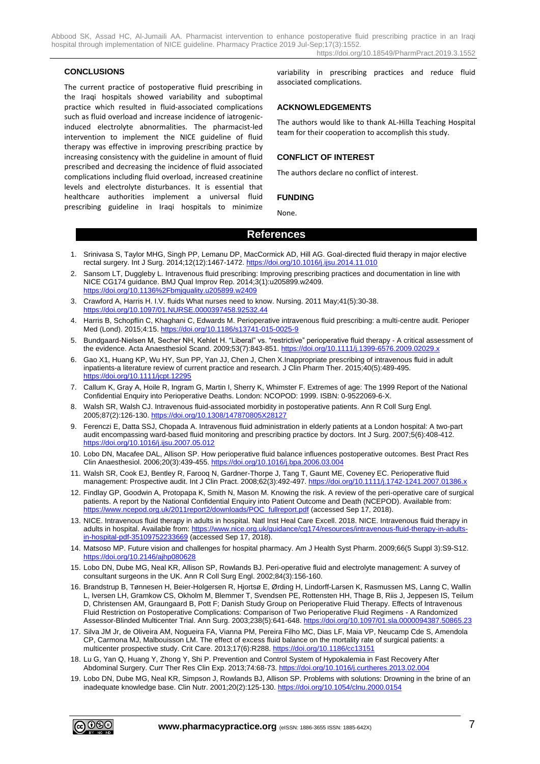#### **CONCLUSIONS**

The current practice of postoperative fluid prescribing in the Iraqi hospitals showed variability and suboptimal practice which resulted in fluid-associated complications such as fluid overload and increase incidence of iatrogenicinduced electrolyte abnormalities. The pharmacist-led intervention to implement the NICE guideline of fluid therapy was effective in improving prescribing practice by increasing consistency with the guideline in amount of fluid prescribed and decreasing the incidence of fluid associated complications including fluid overload, increased creatinine levels and electrolyte disturbances. It is essential that healthcare authorities implement a universal fluid prescribing guideline in Iraqi hospitals to minimize

variability in prescribing practices and reduce fluid associated complications.

#### **ACKNOWLEDGEMENTS**

The authors would like to thank AL-Hilla Teaching Hospital team for their cooperation to accomplish this study.

## **CONFLICT OF INTEREST**

The authors declare no conflict of interest.

#### **FUNDING**

None.

## **References**

- 1. Srinivasa S, Taylor MHG, Singh PP, Lemanu DP, MacCormick AD, Hill AG. Goal-directed fluid therapy in major elective rectal surgery. Int J Surg. 2014;12(12):1467-1472.<https://doi.org/10.1016/j.ijsu.2014.11.010>
- 2. Sansom LT, Duggleby L. Intravenous fluid prescribing: Improving prescribing practices and documentation in line with NICE CG174 guidance. BMJ Qual Improv Rep. 2014;3(1):u205899.w2409. <https://doi.org/10.1136%2Fbmjquality.u205899.w2409>
- 3. Crawford A, Harris H. I.V. fluids What nurses need to know. Nursing. 2011 May;41(5):30-38. <https://doi.org/10.1097/01.NURSE.0000397458.92532.44>
- 4. Harris B, Schopflin C, Khaghani C, Edwards M. Perioperative intravenous fluid prescribing: a multi-centre audit. Perioper Med (Lond). 2015;4:15[. https://doi.org/10.1186/s13741-015-0025-9](https://doi.org/10.1186/s13741-015-0025-9)
- 5. Bundgaard-Nielsen M, Secher NH, Kehlet H. "Liberal" vs. "restrictive" perioperative fluid therapy A critical assessment of the evidence. Acta Anaesthesiol Scand. 2009;53(7):843-851.<https://doi.org/10.1111/j.1399-6576.2009.02029.x>
- 6. Gao X1, Huang KP, Wu HY, Sun PP, Yan JJ, Chen J, Chen X.Inappropriate prescribing of intravenous fluid in adult inpatients-a literature review of current practice and research. J Clin Pharm Ther. 2015;40(5):489-495. <https://doi.org/10.1111/jcpt.12295>
- 7. Callum K, Gray A, Hoile R, Ingram G, Martin I, Sherry K, Whimster F. Extremes of age: The 1999 Report of the National Confidential Enquiry into Perioperative Deaths. London: NCOPOD: 1999. ISBN: 0-9522069-6-X.
- 8. Walsh SR, Walsh CJ. Intravenous fluid-associated morbidity in postoperative patients. Ann R Coll Surg Engl. 2005;87(2):126-130.<https://doi.org/10.1308/147870805X28127>
- 9. Ferenczi E, Datta SSJ, Chopada A. Intravenous fluid administration in elderly patients at a London hospital: A two-part audit encompassing ward-based fluid monitoring and prescribing practice by doctors. Int J Surg. 2007;5(6):408-412. <https://doi.org/10.1016/j.ijsu.2007.05.012>
- 10. Lobo DN, Macafee DAL, Allison SP. How perioperative fluid balance influences postoperative outcomes. Best Pract Res Clin Anaesthesiol. 2006;20(3):439-455.<https://doi.org/10.1016/j.bpa.2006.03.004>
- 11. Walsh SR, Cook EJ, Bentley R, Farooq N, Gardner-Thorpe J, Tang T, Gaunt ME, Coveney EC. Perioperative fluid management: Prospective audit. Int J Clin Pract. 2008;62(3):492-497[. https://doi.org/10.1111/j.1742-1241.2007.01386.x](https://doi.org/10.1111/j.1742-1241.2007.01386.x)
- 12. Findlay GP, Goodwin A, Protopapa K, Smith N, Mason M. Knowing the risk. A review of the peri-operative care of surgical patients. A report by the National Confidential Enquiry into Patient Outcome and Death (NCEPOD). Available from: [https://www.ncepod.org.uk/2011report2/downloads/POC\\_fullreport.pdf](https://www.ncepod.org.uk/2011report2/downloads/POC_fullreport.pdf) (accessed Sep 17, 2018).
- 13. NICE. Intravenous fluid therapy in adults in hospital. Natl Inst Heal Care Excell. 2018. NICE. Intravenous fluid therapy in adults in hospital. Available from[: https://www.nice.org.uk/guidance/cg174/resources/intravenous-fluid-therapy-in-adults](https://www.nice.org.uk/guidance/cg174/resources/intravenous-fluid-therapy-in-adults-in-hospital-pdf-35109752233669)[in-hospital-pdf-35109752233669](https://www.nice.org.uk/guidance/cg174/resources/intravenous-fluid-therapy-in-adults-in-hospital-pdf-35109752233669) (accessed Sep 17, 2018).
- 14. Matsoso MP. Future vision and challenges for hospital pharmacy. Am J Health Syst Pharm. 2009;66(5 Suppl 3):S9-S12. <https://doi.org/10.2146/ajhp080628>
- 15. Lobo DN, Dube MG, Neal KR, Allison SP, Rowlands BJ. Peri-operative fluid and electrolyte management: A survey of consultant surgeons in the UK. Ann R Coll Surg Engl. 2002;84(3):156-160.
- 16. Brandstrup B, Tønnesen H, Beier-Holgersen R, Hjortsø E, Ørding H, Lindorff-Larsen K, Rasmussen MS, Lanng C, Wallin L, Iversen LH, Gramkow CS, Okholm M, Blemmer T, Svendsen PE, Rottensten HH, Thage B, Riis J, Jeppesen IS, Teilum D, Christensen AM, Graungaard B, Pott F; Danish Study Group on Perioperative Fluid Therapy. Effects of Intravenous Fluid Restriction on Postoperative Complications: Comparison of Two Perioperative Fluid Regimens - A Randomized Assessor-Blinded Multicenter Trial. Ann Surg. 2003;238(5):641-648.<https://doi.org/10.1097/01.sla.0000094387.50865.23>
- 17. Silva JM Jr, de Oliveira AM, Nogueira FA, Vianna PM, Pereira Filho MC, Dias LF, Maia VP, Neucamp Cde S, Amendola CP, Carmona MJ, Malbouisson LM. The effect of excess fluid balance on the mortality rate of surgical patients: a multicenter prospective study. Crit Care. 2013;17(6):R288.<https://doi.org/10.1186/cc13151>
- 18. Lu G, Yan Q, Huang Y, Zhong Y, Shi P. Prevention and Control System of Hypokalemia in Fast Recovery After Abdominal Surgery. Curr Ther Res Clin Exp. 2013;74:68-73.<https://doi.org/10.1016/j.curtheres.2013.02.004>
- 19. Lobo DN, Dube MG, Neal KR, Simpson J, Rowlands BJ, Allison SP. Problems with solutions: Drowning in the brine of an inadequate knowledge base. Clin Nutr. 2001;20(2):125-130[. https://doi.org/10.1054/clnu.2000.0154](https://doi.org/10.1054/clnu.2000.0154)